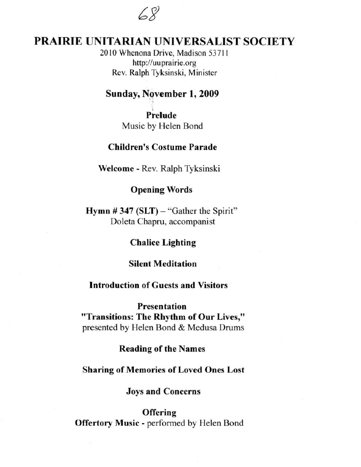$68$ 

# **PRAIRIE** UNITARIAN UNIVERSALIST SOCIETY

2010 Whenona Drive, Madison 53711 http://uuprairie.org Rev. Ralph Tyksinski, Minister

### Sunday, November 1, 2009

Prelude Music by Helen Bond

# Children's Costume Parade

Welcome - Rev. Ralph Tyksinski

#### Opening Words

Hymn  $\#$  347 (SLT) – "Gather the Spirit" Doleta Chapru, accompanist

#### Chalice Lighting

#### Silent Meditation

#### Introduction of Guests and Visitors

Presentation "Transitions: The Rhythm of Our Lives," presented by Helen Bond & Medusa Drums

#### Reading of the Names

#### Sharing of Memories of Loved Ones Lost

#### Joys and Concerns

### **Offering**

Offertory Music - performed by Helen Bond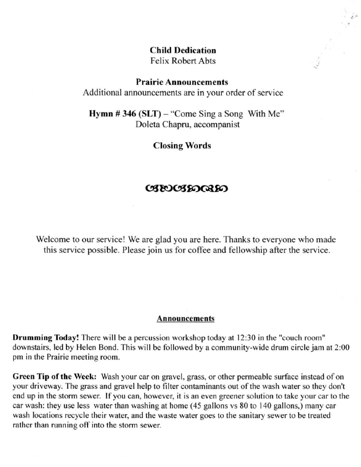Child Dedication Felix Robert Abts

 $\ddot{i}$  $\cdot$  ,  $\cdot'$ 

#### Prairie Announcements

Additional announcements are in your order of service

Hymn  $\# 346$  (SLT) – "Come Sing a Song With Me" Doleta Chapru, accompanist

Closing Words

#### 038003800380

Welcome to our service! We are glad you are here. Thanks to everyone who made this service possible. Please join us for coffee and fellowship after the service.

#### Announcements

Drumming Today! There will be a percussion workshop today at 12 :30 in the "couch room" downstairs, led by Helen Bond. This will be followed by a community-wide drum circle jam at 2:00 pm in the Prairie meeting room.

Green Tip of the Week: Wash your car on gravel, grass, or other permeable surface instead of on your driveway. The grass and gravel help to filter contaminants out of the wash water so they don't end up in the storm sewer. If you can, however, it is an even greener solution to take your car to the car wash: they use less water than washing at home (45 gallons vs 80 to 140 gallons,) many car wash locations recycle their water, and the waste water goes to the sanitary sewer to be treated rather than running off into the storm sewer.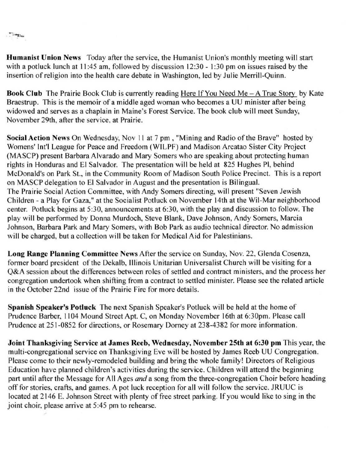"Sanglais

**Humanist Union News** Today after the service, the Humanist Union's monthly meeting will start with a potluck lunch at  $11:45$  am, followed by discussion  $12:30 - 1:30$  pm on issues raised by the insertion of religion into the health care debate in Washington, led by Julie Merrill-Quinn.

Book Club The Prairie Book Club is currently reading Here If You Need Me - A True Story by Kate **Braestrup. This is the memoir of a middle aged woman who becomes a UU minister after being**  widowed and serves as a chaplain in Maine's Forest Service. The book club will meet Sunday, **November 29th, after the service. at Prairie.** 

Social Action News On Wednesday. Nov II at 7 pm , "Mining and Radio of the Brave" hosted by Womens' Int'l League for Peace and Freedom (WILPF) and Madison Arcatao Sister City Project (MASCP) present Barbara Alvarado and Mary Somers who are speaking about protecting human rights in Honduras and EI Salvador. The presentation will be held at 825 Hughes PI, behind **McDonald's on Park St., in the Community Room of Madison South Police Precinct. This is a report**  on MASCP delegation to EI Salvador in August and the presentation is Bilingual. **The Prairie Social Action Committee, with Andy Somers directing, will present "Seven Jewish**  Children - a Play for Gaza," at the Socialist Potluck on November 14th at the Wil-Mar neighborhood center. Potluck begins at 5:30, announcements at 6:30, with the play and discussion to follow. The play will be performed by Donna Murdoch, Steve Blank, Dave Johnson, Andy Somers, Marcia **Johnson, Barbara Park and Mary Somers, with Bob Park as audio technical director. No admission**  will be charged, but a collection will be taken for Medical Aid for Palestinians.

Long Range Planning Committee News After the service on Sunday, Nov. 22, Glenda Cosenza, former board president of the Dekalb, Illinois Unitarian Universalist Church will be visiting for a **Q&A session about the differences between roles of settled and contract ministers, and the process her**  congregation undertook when shifting from a contract to settled minister. Please see the related article **in the October 22nd issue** of the **Prairie Fire for more details.** 

Spanish Speaker's Potluck The next Spanish Speaker's Potluck will be held at the home of Prudence Barber. 1104 Mound Street Apt. C, on Monday November 16th at 6:30pm. Please call Prudence at 251-0852 for directions, or Rosemary Dorney at 238-4382 for more information.

Joint Thanksgiving Service at James Reeb, Wednesday, November 25th at 6:30 **pm** This year, the multi-congregational service on Thanksgiving Eve will be hosted by James Reeb UU Congregation. Please come to their newly-remodeled building and bring the whole family! Directors of Religious Education have planned children's activities during the service. Children will attend the beginning part until after the Message for All Ages *and* a song from the three-congregation Choir before heading off for stories, crafts, and games. A pot luck reception for all will follow the service. JRUUC is located at 2146 E. Johnson Street with plenty of free street parking. If you would like to sing in the **joint choir, please arrive at 5:45 pm to rehearse.**